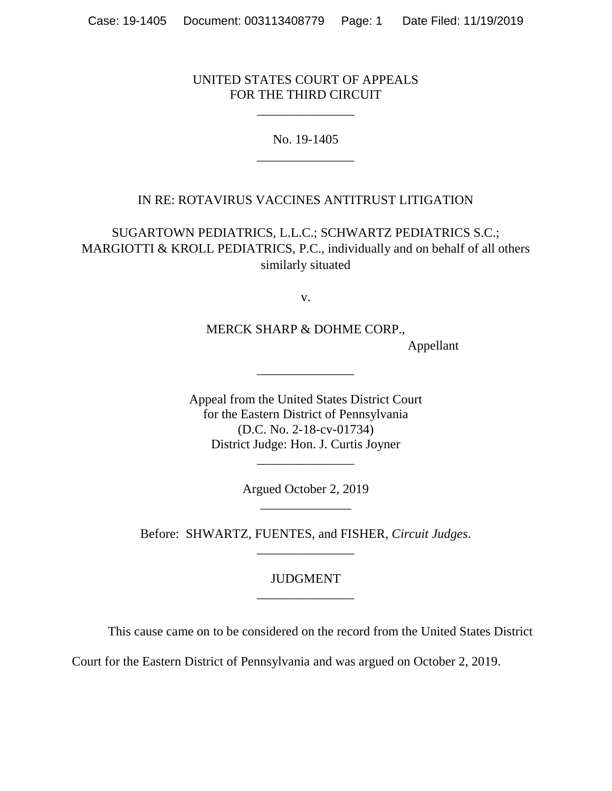#### UNITED STATES COURT OF APPEALS FOR THE THIRD CIRCUIT

\_\_\_\_\_\_\_\_\_\_\_\_\_\_\_

No. 19-1405 \_\_\_\_\_\_\_\_\_\_\_\_\_\_\_

# IN RE: ROTAVIRUS VACCINES ANTITRUST LITIGATION

SUGARTOWN PEDIATRICS, L.L.C.; SCHWARTZ PEDIATRICS S.C.; MARGIOTTI & KROLL PEDIATRICS, P.C., individually and on behalf of all others similarly situated

v.

MERCK SHARP & DOHME CORP.,

Appellant

Appeal from the United States District Court for the Eastern District of Pennsylvania (D.C. No. 2-18-cv-01734) District Judge: Hon. J. Curtis Joyner

\_\_\_\_\_\_\_\_\_\_\_\_\_\_\_

Argued October 2, 2019 \_\_\_\_\_\_\_\_\_\_\_\_\_\_

\_\_\_\_\_\_\_\_\_\_\_\_\_\_\_

Before: SHWARTZ, FUENTES, and FISHER, *Circuit Judges*. \_\_\_\_\_\_\_\_\_\_\_\_\_\_\_

# JUDGMENT \_\_\_\_\_\_\_\_\_\_\_\_\_\_\_

This cause came on to be considered on the record from the United States District

Court for the Eastern District of Pennsylvania and was argued on October 2, 2019.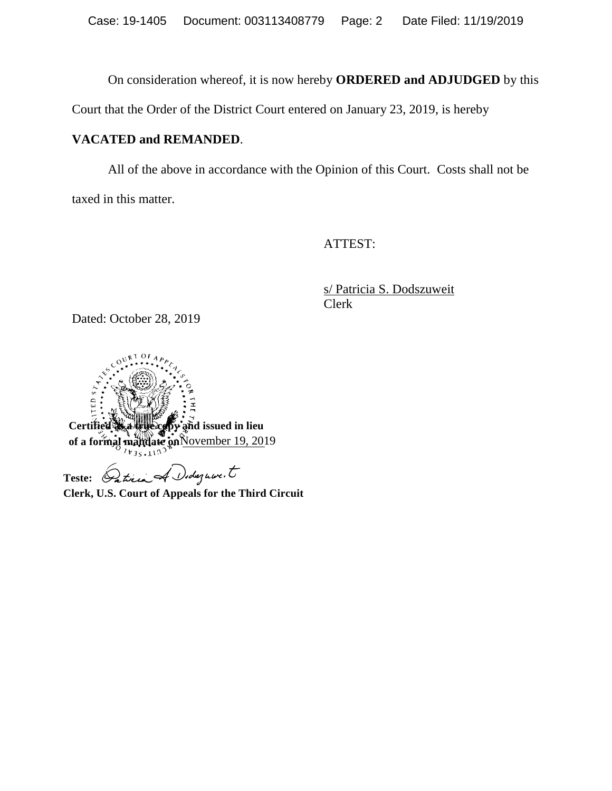On consideration whereof, it is now hereby **ORDERED and ADJUDGED** by this

Court that the Order of the District Court entered on January 23, 2019, is hereby

# **VACATED and REMANDED**.

All of the above in accordance with the Opinion of this Court. Costs shall not be taxed in this matter.

ATTEST:

s/ Patricia S. Dodszuweit Clerk

Dated: October 28, 2019



Teste: *Patrici A Didagnon.* 

**Clerk, U.S. Court of Appeals for the Third Circuit**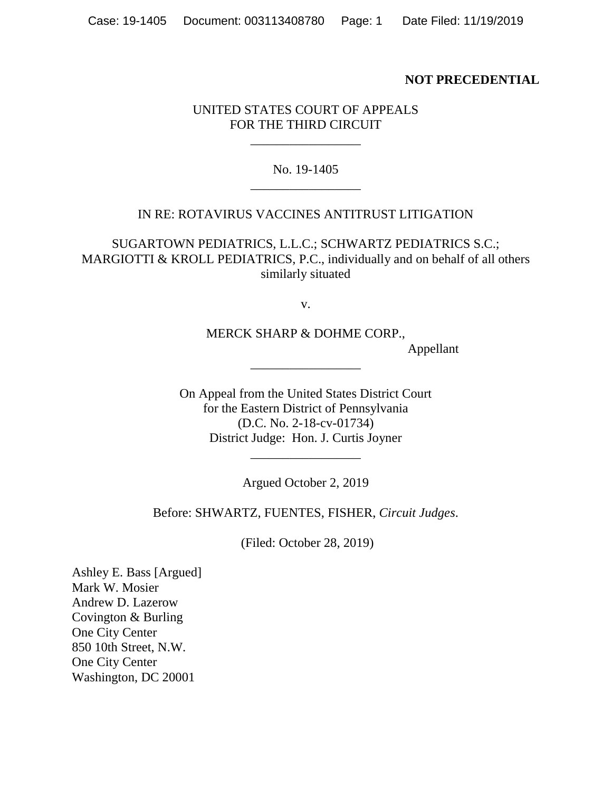#### **NOT PRECEDENTIAL**

# UNITED STATES COURT OF APPEALS FOR THE THIRD CIRCUIT

\_\_\_\_\_\_\_\_\_\_\_\_\_\_\_\_\_

## No. 19-1405 \_\_\_\_\_\_\_\_\_\_\_\_\_\_\_\_\_

#### IN RE: ROTAVIRUS VACCINES ANTITRUST LITIGATION

SUGARTOWN PEDIATRICS, L.L.C.; SCHWARTZ PEDIATRICS S.C.; MARGIOTTI & KROLL PEDIATRICS, P.C., individually and on behalf of all others similarly situated

v.

MERCK SHARP & DOHME CORP.,

\_\_\_\_\_\_\_\_\_\_\_\_\_\_\_\_\_

Appellant

On Appeal from the United States District Court for the Eastern District of Pennsylvania (D.C. No. 2-18-cv-01734) District Judge: Hon. J. Curtis Joyner

Argued October 2, 2019

\_\_\_\_\_\_\_\_\_\_\_\_\_\_\_\_\_

Before: SHWARTZ, FUENTES, FISHER, *Circuit Judges*.

(Filed: October 28, 2019)

Ashley E. Bass [Argued] Mark W. Mosier Andrew D. Lazerow Covington & Burling One City Center 850 10th Street, N.W. One City Center Washington, DC 20001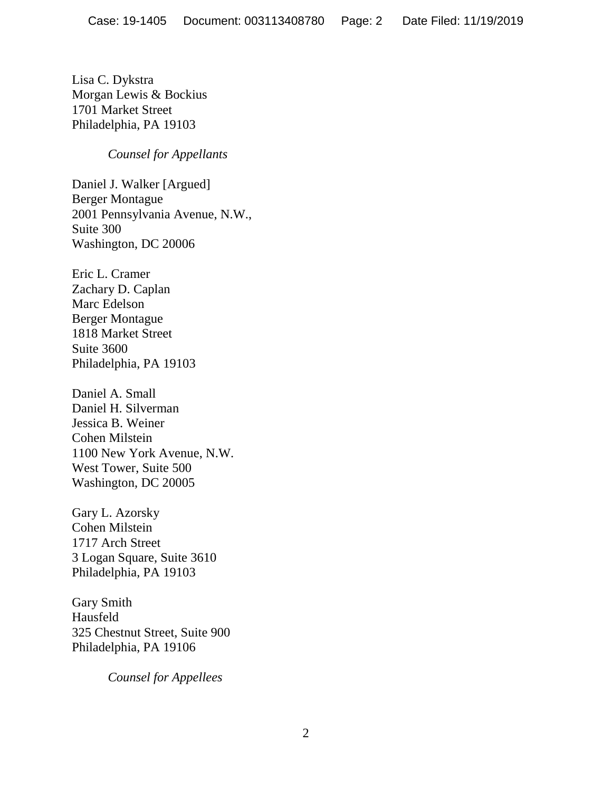Lisa C. Dykstra Morgan Lewis & Bockius 1701 Market Street Philadelphia, PA 19103

*Counsel for Appellants*

Daniel J. Walker [Argued] Berger Montague 2001 Pennsylvania Avenue, N.W., Suite 300 Washington, DC 20006

Eric L. Cramer Zachary D. Caplan Marc Edelson Berger Montague 1818 Market Street Suite 3600 Philadelphia, PA 19103

Daniel A. Small Daniel H. Silverman Jessica B. Weiner Cohen Milstein 1100 New York Avenue, N.W. West Tower, Suite 500 Washington, DC 20005

Gary L. Azorsky Cohen Milstein 1717 Arch Street 3 Logan Square, Suite 3610 Philadelphia, PA 19103

Gary Smith Hausfeld 325 Chestnut Street, Suite 900 Philadelphia, PA 19106

*Counsel for Appellees*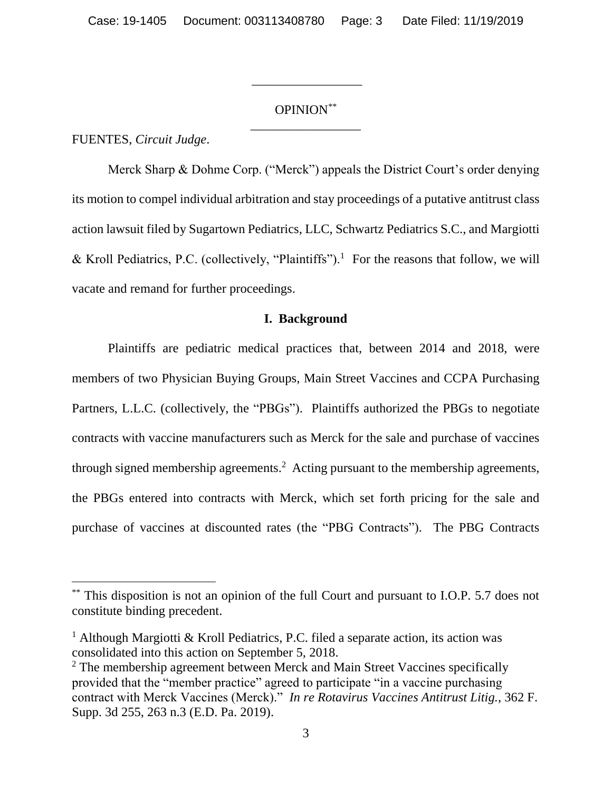# OPINION\*\* \_\_\_\_\_\_\_\_\_\_\_\_\_\_\_\_\_

\_\_\_\_\_\_\_\_\_\_\_\_\_\_\_\_\_

FUENTES, *Circuit Judge*.

 $\overline{a}$ 

Merck Sharp & Dohme Corp. ("Merck") appeals the District Court's order denying its motion to compel individual arbitration and stay proceedings of a putative antitrust class action lawsuit filed by Sugartown Pediatrics, LLC, Schwartz Pediatrics S.C., and Margiotti & Kroll Pediatrics, P.C. (collectively, "Plaintiffs").<sup>1</sup> For the reasons that follow, we will vacate and remand for further proceedings.

#### **I. Background**

Plaintiffs are pediatric medical practices that, between 2014 and 2018, were members of two Physician Buying Groups, Main Street Vaccines and CCPA Purchasing Partners, L.L.C. (collectively, the "PBGs"). Plaintiffs authorized the PBGs to negotiate contracts with vaccine manufacturers such as Merck for the sale and purchase of vaccines through signed membership agreements.<sup>2</sup> Acting pursuant to the membership agreements, the PBGs entered into contracts with Merck, which set forth pricing for the sale and purchase of vaccines at discounted rates (the "PBG Contracts"). The PBG Contracts

<sup>\*\*</sup> This disposition is not an opinion of the full Court and pursuant to I.O.P. 5.7 does not constitute binding precedent.

<sup>&</sup>lt;sup>1</sup> Although Margiotti & Kroll Pediatrics, P.C. filed a separate action, its action was consolidated into this action on September 5, 2018.

<sup>&</sup>lt;sup>2</sup> The membership agreement between Merck and Main Street Vaccines specifically provided that the "member practice" agreed to participate "in a vaccine purchasing contract with Merck Vaccines (Merck)." *In re Rotavirus Vaccines Antitrust Litig.*, 362 F. Supp. 3d 255, 263 n.3 (E.D. Pa. 2019).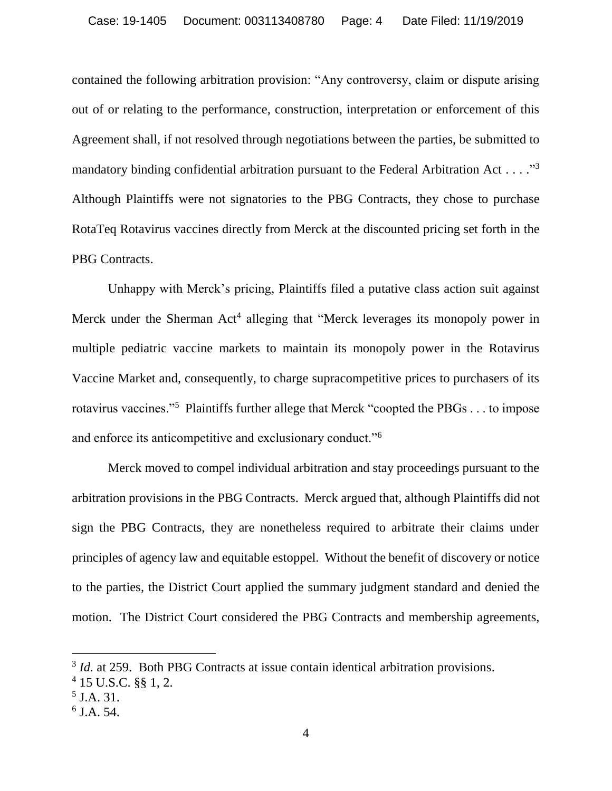contained the following arbitration provision: "Any controversy, claim or dispute arising out of or relating to the performance, construction, interpretation or enforcement of this Agreement shall, if not resolved through negotiations between the parties, be submitted to mandatory binding confidential arbitration pursuant to the Federal Arbitration Act . . . . "<sup>3</sup> Although Plaintiffs were not signatories to the PBG Contracts, they chose to purchase RotaTeq Rotavirus vaccines directly from Merck at the discounted pricing set forth in the PBG Contracts.

Unhappy with Merck's pricing, Plaintiffs filed a putative class action suit against Merck under the Sherman Act<sup>4</sup> alleging that "Merck leverages its monopoly power in multiple pediatric vaccine markets to maintain its monopoly power in the Rotavirus Vaccine Market and, consequently, to charge supracompetitive prices to purchasers of its rotavirus vaccines."<sup>5</sup> Plaintiffs further allege that Merck "coopted the PBGs . . . to impose and enforce its anticompetitive and exclusionary conduct."<sup>6</sup>

Merck moved to compel individual arbitration and stay proceedings pursuant to the arbitration provisions in the PBG Contracts. Merck argued that, although Plaintiffs did not sign the PBG Contracts, they are nonetheless required to arbitrate their claims under principles of agency law and equitable estoppel. Without the benefit of discovery or notice to the parties, the District Court applied the summary judgment standard and denied the motion. The District Court considered the PBG Contracts and membership agreements,

<sup>&</sup>lt;sup>3</sup> *Id.* at 259. Both PBG Contracts at issue contain identical arbitration provisions.

<sup>4</sup> 15 U.S.C. §§ 1, 2.

<sup>5</sup> J.A. 31.

<sup>6</sup> J.A. 54.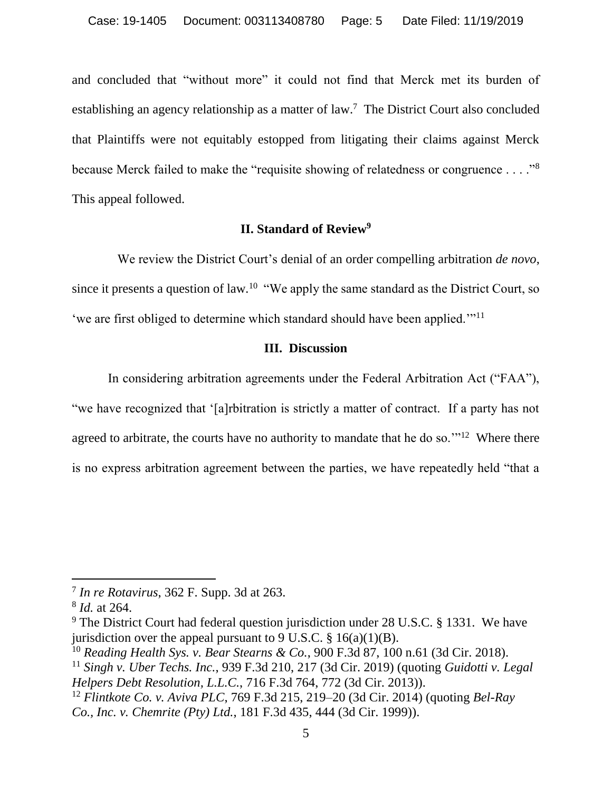and concluded that "without more" it could not find that Merck met its burden of establishing an agency relationship as a matter of law.<sup>7</sup> The District Court also concluded that Plaintiffs were not equitably estopped from litigating their claims against Merck because Merck failed to make the "requisite showing of relatedness or congruence . . . ."<sup>8</sup> This appeal followed.

# **II. Standard of Review<sup>9</sup>**

We review the District Court's denial of an order compelling arbitration *de novo*, since it presents a question of law*.* <sup>10</sup> "We apply the same standard as the District Court, so 'we are first obliged to determine which standard should have been applied.'"<sup>11</sup>

# **III. Discussion**

In considering arbitration agreements under the Federal Arbitration Act ("FAA"), "we have recognized that '[a]rbitration is strictly a matter of contract. If a party has not agreed to arbitrate, the courts have no authority to mandate that he do so."<sup>12</sup> Where there is no express arbitration agreement between the parties, we have repeatedly held "that a

 $\overline{a}$ 

<sup>7</sup> *In re Rotavirus*, 362 F. Supp. 3d at 263.

<sup>8</sup> *Id.* at 264.

 $9$  The District Court had federal question jurisdiction under 28 U.S.C. § 1331. We have jurisdiction over the appeal pursuant to 9 U.S.C.  $\S$  16(a)(1)(B).

<sup>10</sup> *Reading Health Sys. v. Bear Stearns & Co.*, 900 F.3d 87, 100 n.61 (3d Cir. 2018).

<sup>11</sup> *Singh v. Uber Techs. Inc.*, 939 F.3d 210, 217 (3d Cir. 2019) (quoting *Guidotti v. Legal Helpers Debt Resolution, L.L.C.*, 716 F.3d 764, 772 (3d Cir. 2013)).

<sup>12</sup> *Flintkote Co. v. Aviva PLC*, 769 F.3d 215, 219–20 (3d Cir. 2014) (quoting *Bel-Ray Co., Inc. v. Chemrite (Pty) Ltd.*, 181 F.3d 435, 444 (3d Cir. 1999)).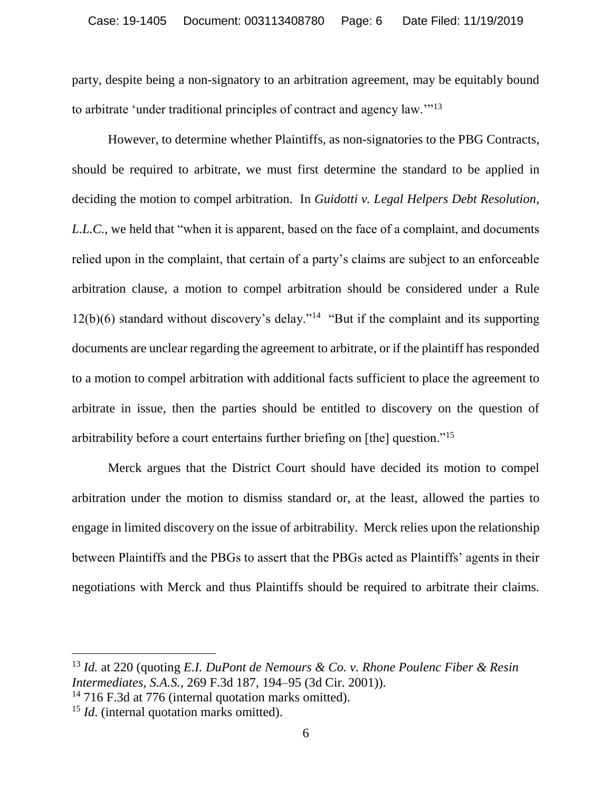party, despite being a non-signatory to an arbitration agreement, may be equitably bound to arbitrate 'under traditional principles of contract and agency law.'"<sup>13</sup>

However, to determine whether Plaintiffs, as non-signatories to the PBG Contracts, should be required to arbitrate, we must first determine the standard to be applied in deciding the motion to compel arbitration. In *Guidotti v. Legal Helpers Debt Resolution, L.L.C.*, we held that "when it is apparent, based on the face of a complaint, and documents relied upon in the complaint, that certain of a party's claims are subject to an enforceable arbitration clause, a motion to compel arbitration should be considered under a Rule  $12(b)(6)$  standard without discovery's delay."<sup>14</sup> "But if the complaint and its supporting documents are unclear regarding the agreement to arbitrate, or if the plaintiff has responded to a motion to compel arbitration with additional facts sufficient to place the agreement to arbitrate in issue, then the parties should be entitled to discovery on the question of arbitrability before a court entertains further briefing on [the] question."<sup>15</sup>

Merck argues that the District Court should have decided its motion to compel arbitration under the motion to dismiss standard or, at the least, allowed the parties to engage in limited discovery on the issue of arbitrability. Merck relies upon the relationship between Plaintiffs and the PBGs to assert that the PBGs acted as Plaintiffs' agents in their negotiations with Merck and thus Plaintiffs should be required to arbitrate their claims.

<sup>13</sup> *Id.* at 220 (quoting *E.I. DuPont de Nemours & Co. v. Rhone Poulenc Fiber & Resin Intermediates, S.A.S.*, 269 F.3d 187, 194–95 (3d Cir. 2001)).

<sup>14</sup> 716 F.3d at 776 (internal quotation marks omitted).

<sup>&</sup>lt;sup>15</sup> *Id.* (internal quotation marks omitted).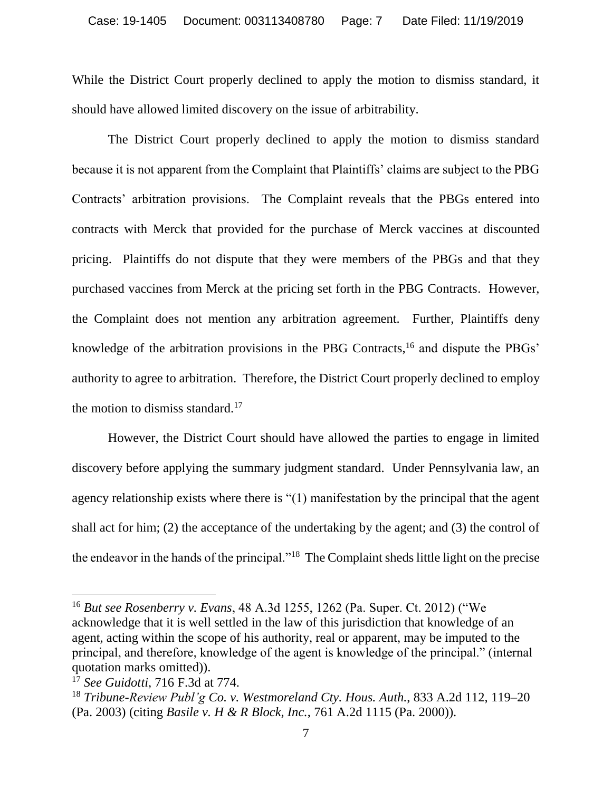While the District Court properly declined to apply the motion to dismiss standard, it should have allowed limited discovery on the issue of arbitrability.

The District Court properly declined to apply the motion to dismiss standard because it is not apparent from the Complaint that Plaintiffs' claims are subject to the PBG Contracts' arbitration provisions. The Complaint reveals that the PBGs entered into contracts with Merck that provided for the purchase of Merck vaccines at discounted pricing. Plaintiffs do not dispute that they were members of the PBGs and that they purchased vaccines from Merck at the pricing set forth in the PBG Contracts. However, the Complaint does not mention any arbitration agreement. Further, Plaintiffs deny knowledge of the arbitration provisions in the PBG Contracts,<sup>16</sup> and dispute the PBGs' authority to agree to arbitration. Therefore, the District Court properly declined to employ the motion to dismiss standard.<sup>17</sup>

However, the District Court should have allowed the parties to engage in limited discovery before applying the summary judgment standard. Under Pennsylvania law, an agency relationship exists where there is "(1) manifestation by the principal that the agent shall act for him; (2) the acceptance of the undertaking by the agent; and (3) the control of the endeavor in the hands of the principal."<sup>18</sup> The Complaint sheds little light on the precise

 $\overline{a}$ 

<sup>16</sup> *But see Rosenberry v. Evans*, 48 A.3d 1255, 1262 (Pa. Super. Ct. 2012) ("We acknowledge that it is well settled in the law of this jurisdiction that knowledge of an agent, acting within the scope of his authority, real or apparent, may be imputed to the principal, and therefore, knowledge of the agent is knowledge of the principal." (internal quotation marks omitted)).

<sup>17</sup> *See Guidotti*, 716 F.3d at 774.

<sup>18</sup> *Tribune-Review Publ'g Co. v. Westmoreland Cty. Hous. Auth.*, 833 A.2d 112, 119–20 (Pa. 2003) (citing *Basile v. H & R Block, Inc.*, 761 A.2d 1115 (Pa. 2000)).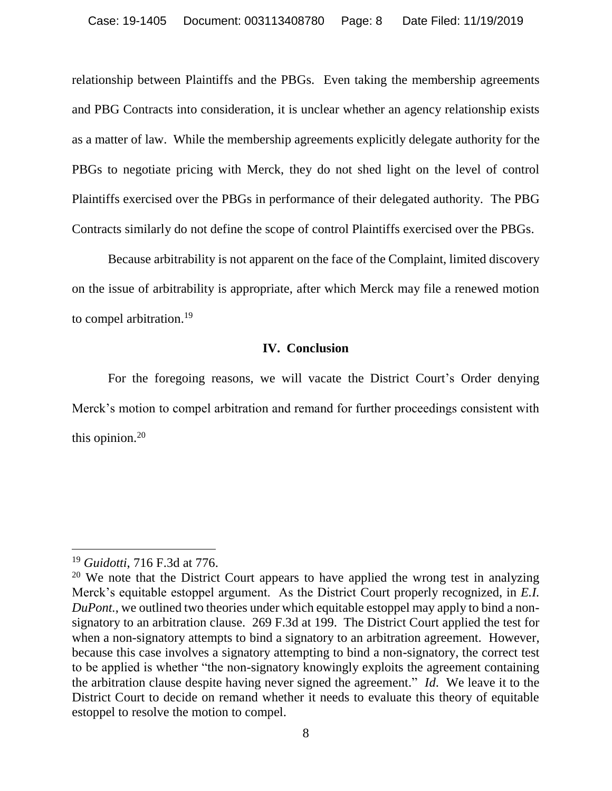relationship between Plaintiffs and the PBGs. Even taking the membership agreements and PBG Contracts into consideration, it is unclear whether an agency relationship exists as a matter of law. While the membership agreements explicitly delegate authority for the PBGs to negotiate pricing with Merck, they do not shed light on the level of control Plaintiffs exercised over the PBGs in performance of their delegated authority. The PBG Contracts similarly do not define the scope of control Plaintiffs exercised over the PBGs.

Because arbitrability is not apparent on the face of the Complaint, limited discovery on the issue of arbitrability is appropriate, after which Merck may file a renewed motion to compel arbitration.<sup>19</sup>

## **IV. Conclusion**

For the foregoing reasons, we will vacate the District Court's Order denying Merck's motion to compel arbitration and remand for further proceedings consistent with this opinion. 20

<sup>19</sup> *Guidotti*, 716 F.3d at 776.

<sup>&</sup>lt;sup>20</sup> We note that the District Court appears to have applied the wrong test in analyzing Merck's equitable estoppel argument. As the District Court properly recognized, in *E.I. DuPont.*, we outlined two theories under which equitable estoppel may apply to bind a nonsignatory to an arbitration clause. 269 F.3d at 199. The District Court applied the test for when a non-signatory attempts to bind a signatory to an arbitration agreement. However, because this case involves a signatory attempting to bind a non-signatory, the correct test to be applied is whether "the non-signatory knowingly exploits the agreement containing the arbitration clause despite having never signed the agreement." *Id*. We leave it to the District Court to decide on remand whether it needs to evaluate this theory of equitable estoppel to resolve the motion to compel.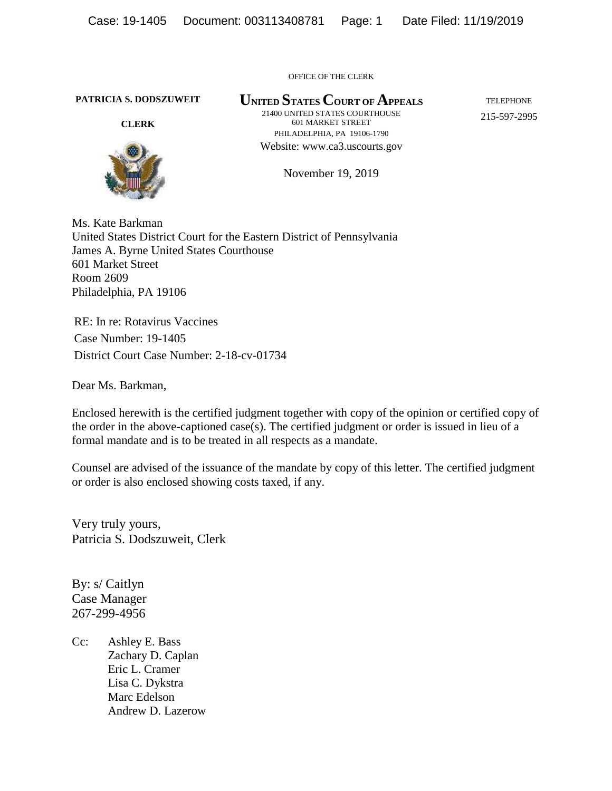OFFICE OF THE CLERK

**PATRICIA S. DODSZUWEIT**

**CLERK**



**UNITED STATES COURT OF APPEALS** 21400 UNITED STATES COURTHOUSE 601 MARKET STREET PHILADELPHIA, PA 19106-1790 Website: www.ca3.uscourts.gov

TELEPHONE 215-597-2995

November 19, 2019

Ms. Kate Barkman United States District Court for the Eastern District of Pennsylvania James A. Byrne United States Courthouse 601 Market Street Room 2609 Philadelphia, PA 19106

RE: In re: Rotavirus Vaccines Case Number: 19-1405 District Court Case Number: 2-18-cv-01734

Dear Ms. Barkman,

Enclosed herewith is the certified judgment together with copy of the opinion or certified copy of the order in the above-captioned case(s). The certified judgment or order is issued in lieu of a formal mandate and is to be treated in all respects as a mandate.

Counsel are advised of the issuance of the mandate by copy of this letter. The certified judgment or order is also enclosed showing costs taxed, if any.

Very truly yours, Patricia S. Dodszuweit, Clerk

By: s/ Caitlyn Case Manager 267-299-4956

Cc: Ashley E. Bass Zachary D. Caplan Eric L. Cramer Lisa C. Dykstra Marc Edelson Andrew D. Lazerow